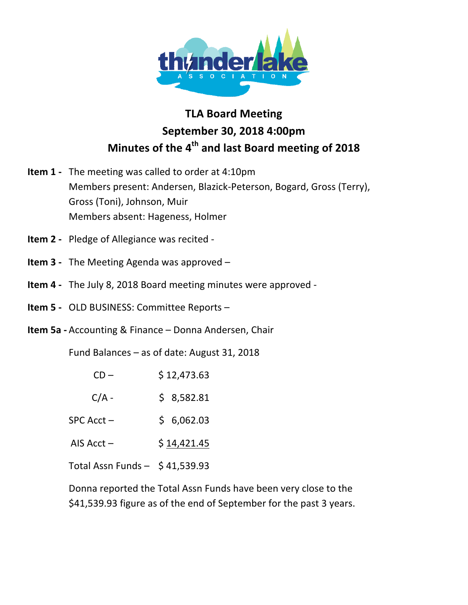

## **TLA Board Meeting September\$30,\$2018 4:00pm Minutes of the 4<sup>th</sup> and last Board meeting of 2018**

- **Item 1** The meeting was called to order at 4:10pm Members present: Andersen, Blazick-Peterson, Bogard, Gross (Terry), Gross (Toni), Johnson, Muir Members absent: Hageness, Holmer
- **Item 2** Pledge of Allegiance was recited -
- **Item 3** The Meeting Agenda was approved –
- **Item 4** The July 8, 2018 Board meeting minutes were approved -
- **Item 5** OLD BUSINESS: Committee Reports –
- **Item 5a** Accounting & Finance Donna Andersen, Chair

Fund Balances – as of date: August 31, 2018

| $CD-$                             | \$12,473.63 |
|-----------------------------------|-------------|
| $C/A -$                           | \$8,582.81  |
| SPC Acct-                         | \$6,062.03  |
| AIS $Acct -$                      | \$14,421.45 |
| Total Assn Funds $-$ \$ 41,539.93 |             |

Donna reported the Total Assn Funds have been very close to the \$41,539.93 figure as of the end of September for the past 3 years.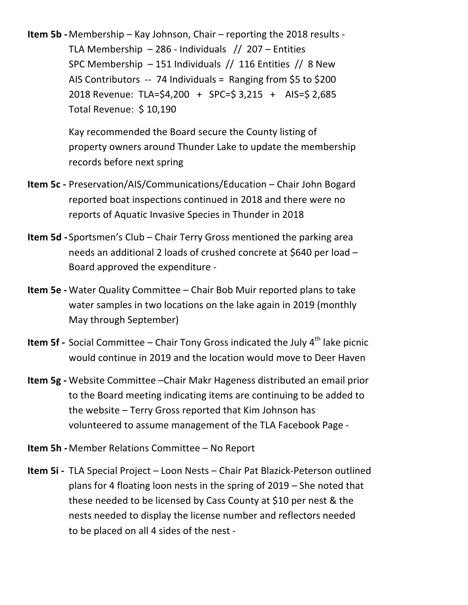**Item 5b** - Membership – Kay Johnson, Chair – reporting the 2018 results -TLA Membership – 286 - Individuals  $// 207$  – Entities SPC Membership  $-151$  Individuals // 116 Entities // 8 New AIS Contributors  $-$  74 Individuals = Ranging from \$5 to \$200 2018 Revenue: TLA=\$4,200 + SPC=\$ 3,215 + AIS=\$ 2,685 Total Revenue: \$ 10,190

> Kay recommended the Board secure the County listing of property owners around Thunder Lake to update the membership records before next spring

- **Item 5c** Preservation/AIS/Communications/Education Chair John Bogard reported boat inspections continued in 2018 and there were no reports of Aquatic Invasive Species in Thunder in 2018
- **Item 5d** Sportsmen's Club Chair Terry Gross mentioned the parking area needs an additional 2 loads of crushed concrete at \$640 per load  $-$ Board approved the expenditure -
- **Item 5e** Water Quality Committee Chair Bob Muir reported plans to take water samples in two locations on the lake again in 2019 (monthly May through September)
- **Item 5f** Social Committee Chair Tony Gross indicated the July 4<sup>th</sup> lake picnic would continue in 2019 and the location would move to Deer Haven
- **Item 5g** Website Committee –Chair Makr Hageness distributed an email prior to the Board meeting indicating items are continuing to be added to the website  $-$  Terry Gross reported that Kim Johnson has volunteered to assume management of the TLA Facebook Page -
- **Item 5h** Member Relations Committee No Report
- **Item 5i** TLA Special Project Loon Nests Chair Pat Blazick-Peterson outlined plans for 4 floating loon nests in the spring of  $2019$  – She noted that these needed to be licensed by Cass County at \$10 per nest & the nests needed to display the license number and reflectors needed to be placed on all 4 sides of the nest -